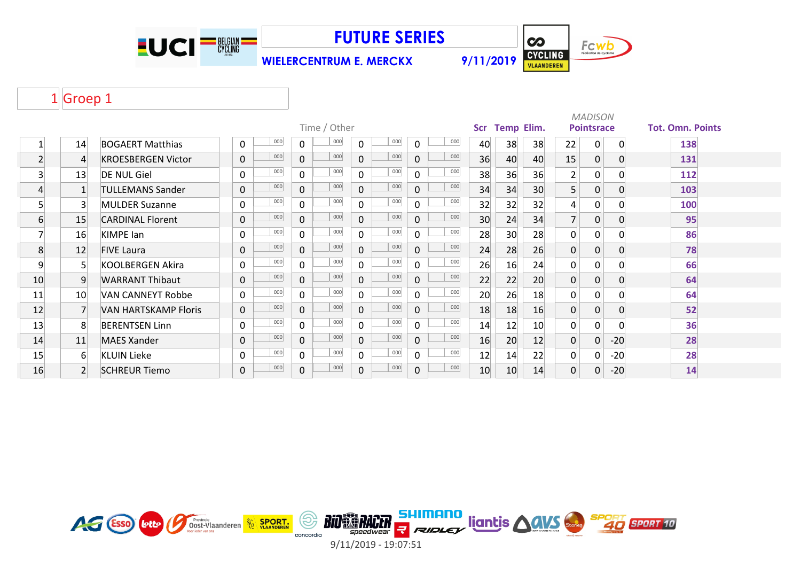



**WIELERCENTRUM E. MERCKX 9/11/2019**

# 1Groep 1

|                  |                |                             |                |     |              |              |              |     |              |     | <b>MADISON</b> |                   |                 |                |                   |              |                         |  |  |  |  |  |
|------------------|----------------|-----------------------------|----------------|-----|--------------|--------------|--------------|-----|--------------|-----|----------------|-------------------|-----------------|----------------|-------------------|--------------|-------------------------|--|--|--|--|--|
|                  |                |                             |                |     |              | Time / Other |              |     |              |     | Scr            | <b>Temp Elim.</b> |                 |                | <b>Pointsrace</b> |              | <b>Tot. Omn. Points</b> |  |  |  |  |  |
|                  | 14             | <b>BOGAERT Matthias</b>     | 0              | 000 | 0            | 000          | 0            | 000 | $\mathbf 0$  | 000 | 40             | 38                | 38              | 22             | 0                 | $\Omega$     | 138                     |  |  |  |  |  |
| $\overline{2}$   |                | <b>KROESBERGEN Victor</b>   | $\mathbf 0$    | 000 | $\mathbf{0}$ | 000          | $\mathbf{0}$ | 000 | $\mathbf 0$  | 000 | 36             | 40                | 40              | 15             | 0                 | $\Omega$     | 131                     |  |  |  |  |  |
| $\overline{3}$   | 13             | <b>DE NUL Giel</b>          | $\mathbf 0$    | 000 | $\Omega$     | 000          | $\Omega$     | 000 | $\mathbf{0}$ | 000 | 38             | 36                | 36              | 2 <sup>1</sup> | 0                 |              | 112                     |  |  |  |  |  |
| 4                |                | <b>TULLEMANS Sander</b>     | $\mathbf 0$    | 000 | $\Omega$     | 000          | $\mathbf{0}$ | 000 | $\mathbf 0$  | 000 | 34             | 34                | 30 <sup>°</sup> | 5 <sup>1</sup> | 0                 | $\mathbf{0}$ | 103                     |  |  |  |  |  |
| 5                | 3              | <b>MULDER Suzanne</b>       | $\mathbf 0$    | 000 | $\Omega$     | 000          | $\Omega$     | 000 | $\mathbf 0$  | 000 | 32             | 32                | 32              | 4              | $\Omega$          |              | 100                     |  |  |  |  |  |
| $6 \overline{6}$ | 15             | <b>CARDINAL Florent</b>     | $\mathbf{0}$   | 000 | $\mathbf{0}$ | 000          | $\mathbf{0}$ | 000 | $\mathbf 0$  | 000 | 30             | 24                | 34              |                | 0                 | 0            | 95                      |  |  |  |  |  |
|                  | 16             | <b>KIMPE</b> lan            | $\Omega$       | 000 | $\Omega$     | 000          | $\Omega$     | 000 | $\mathbf{0}$ | 000 | 28             | 30                | 28              | $\mathbf{0}$   | $\overline{0}$    | ŋ            | 86                      |  |  |  |  |  |
| 8                | 12             | <b>FIVE Laura</b>           | $\overline{0}$ | 000 | $\Omega$     | 000          | $\mathbf{0}$ | 000 | $\Omega$     | 000 | 24             | 28                | 26              | $\overline{0}$ | $\overline{0}$    | $\Omega$     | 78                      |  |  |  |  |  |
| 9                | 5 <sup>1</sup> | KOOLBERGEN Akira            | $\mathbf 0$    | 000 | $\Omega$     | 000          | 0            | 000 | $\mathbf 0$  | 000 | 26             | 16                | 24              | 0              | 0                 |              | 66                      |  |  |  |  |  |
| 10               | 9              | <b>WARRANT Thibaut</b>      | $\mathbf 0$    | 000 | $\Omega$     | 000          | $\mathbf{0}$ | 000 | $\mathbf{0}$ | 000 | 22             | 22                | 20              | $\mathbf 0$    | $\overline{0}$    | 0            | 64                      |  |  |  |  |  |
| 11               | 10             | VAN CANNEYT Robbe           | $\mathbf{0}$   | 000 | 0            | 000          | 0            | 000 | $\mathbf{0}$ | 000 | 20             | 26                | 18              | 0              | $\Omega$          |              | 64                      |  |  |  |  |  |
| 12               | $\overline{7}$ | <b>VAN HARTSKAMP Floris</b> | 0              | 000 | $\Omega$     | 000          | $\mathbf{0}$ | 000 | $\mathbf{0}$ | 000 | 18             | 18                | 16              | $\overline{0}$ | $\overline{0}$    | $\Omega$     | 52                      |  |  |  |  |  |
| 13               | 8              | <b>BERENTSEN Linn</b>       | $\mathbf 0$    | 000 | $\Omega$     | 000          | 0            | 000 | $\mathbf 0$  | 000 | 14             | 12                | 10              | $\Omega$       | $\overline{0}$    |              | 36                      |  |  |  |  |  |
| 14               | 11             | <b>MAES Xander</b>          | 0              | 000 | $\Omega$     | 000          | $\Omega$     | 000 | $\mathbf{0}$ | 000 | 16             | 20                | 12              | $\overline{0}$ | 0                 | $-20$        | 28                      |  |  |  |  |  |
| 15               | 6              | <b>KLUIN Lieke</b>          | $\mathbf 0$    | 000 | $\Omega$     | 000          | $\Omega$     | 000 | $\mathbf 0$  | 000 | 12             | 14                | 22              | 0              | 0                 | $-20$        | 28                      |  |  |  |  |  |
| 16               | $\overline{2}$ | <b>SCHREUR Tiemo</b>        | 0              | 000 | 0            | 000          | 0            | 000 | $\mathbf 0$  | 000 | 10             | 10                | 14              | $\overline{0}$ | 0                 | $-20$        | 14                      |  |  |  |  |  |

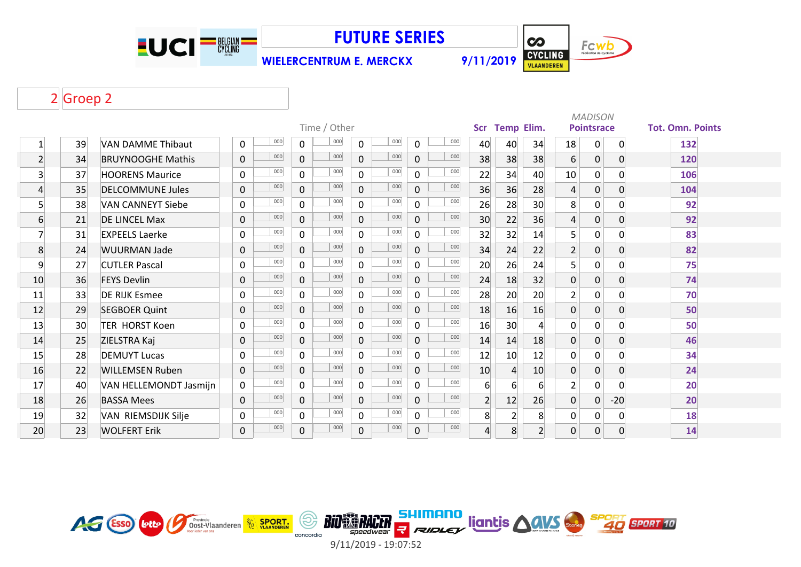

**WIELERCENTRUM E. MERCKX 9/11/2019**

 $\overline{\mathbf{c}}$ Fcwb CYCLING

# 2Groep 2

|                |    |                          |                    |                       |                       |             |     |                 |                  |                | <b>MADISON</b>   |                   |       |                         |  |
|----------------|----|--------------------------|--------------------|-----------------------|-----------------------|-------------|-----|-----------------|------------------|----------------|------------------|-------------------|-------|-------------------------|--|
|                |    |                          |                    | Time / Other          |                       |             |     | Scr             | Temp Elim.       |                |                  | <b>Pointsrace</b> |       | <b>Tot. Omn. Points</b> |  |
| 1              | 39 | <b>VAN DAMME Thibaut</b> | 000<br>$\mathbf 0$ | 000<br>0              | 000<br>0              | 0           | 000 | 40              | 40               | 34             | 18               | 0                 | 0     | 132                     |  |
| $\overline{2}$ | 34 | <b>BRUYNOOGHE Mathis</b> | 000<br>$\mathbf 0$ | 000<br>0              | 000<br>$\mathbf 0$    | 0           | 000 | 38              | 38               | 38             | $6 \overline{6}$ | 0                 | 0     | 120                     |  |
| 3              | 37 | <b>HOORENS Maurice</b>   | 000<br>$\mathbf 0$ | 000<br>$\overline{0}$ | 000<br>$\overline{0}$ | $\Omega$    | 000 | 22              | 34               | 40             | 10 <sup>1</sup>  | 0                 | 0     | 106                     |  |
| 4              | 35 | <b>DELCOMMUNE Jules</b>  | 000<br>$\mathbf 0$ | 000<br>$\overline{0}$ | 000<br>$\overline{0}$ | $\mathbf 0$ | 000 | 36              | 36               | 28             | $\overline{4}$   | 0                 | 0     | 104                     |  |
| 5              | 38 | <b>VAN CANNEYT Siebe</b> | 000<br>$\mathbf 0$ | 000<br>$\overline{0}$ | 000<br>$\mathbf{0}$   | 0           | 000 | 26              | 28               | 30             | 8                | 0                 |       | 92                      |  |
| 6              | 21 | <b>DE LINCEL Max</b>     | 000<br>$\mathbf 0$ | 000<br>$\overline{0}$ | 000<br>$\overline{0}$ | $\mathbf 0$ | 000 | 30 <sup>°</sup> | 22               | 36             | $\overline{4}$   | 0                 | 0     | 92                      |  |
| 7              | 31 | <b>EXPEELS Laerke</b>    | 000<br>$\mathbf 0$ | 000<br>$\overline{0}$ | 000<br>$\overline{0}$ | $\Omega$    | 000 | 32              | 32               | 14             | 5 <sup>1</sup>   | 0                 | 0     | 83                      |  |
| 8              | 24 | <b>WUURMAN Jade</b>      | 000<br>$\mathsf 0$ | 000<br>$\overline{0}$ | 000<br>$\overline{0}$ | $\mathbf 0$ | 000 | 34              | 24               | 22             | $\overline{2}$   | 0                 | 0     | 82                      |  |
| 9              | 27 | <b>CUTLER Pascal</b>     | 000<br>$\mathbf 0$ | 000<br>$\overline{0}$ | 000<br>$\mathsf{O}$   | 0           | 000 | 20              | 26               | 24             | 5 <sup>1</sup>   | $\mathbf 0$       | 0     | 75                      |  |
| 10             | 36 | <b>FEYS Devlin</b>       | 000<br>$\mathbf 0$ | 000<br>0              | 000<br>$\overline{0}$ | $\mathbf 0$ | 000 | 24              | 18               | 32             | $\overline{0}$   | $\overline{0}$    | 0     | 74                      |  |
| 11             | 33 | DE RIJK Esmee            | 000<br>$\mathbf 0$ | 000<br>$\overline{0}$ | 000<br>0              | $\Omega$    | 000 | 28              | 20               | 20             | $\overline{2}$   | 0                 | 0     | 70                      |  |
| 12             | 29 | <b>SEGBOER Quint</b>     | 000<br>$\mathbf 0$ | 000<br>$\overline{0}$ | 000<br>$\overline{0}$ | $\mathbf 0$ | 000 | 18              | 16               | 16             | $\overline{0}$   | $\overline{0}$    | 0     | 50                      |  |
| 13             | 30 | <b>TER HORST Koen</b>    | 000<br>$\mathbf 0$ | 000<br>0              | 000<br>$\overline{0}$ | $\Omega$    | 000 | 16              | 30               | 4              | $\mathbf 0$      | 0                 | O     | 50                      |  |
| 14             | 25 | ZIELSTRA Kaj             | 000<br>$\pmb{0}$   | 000<br>$\overline{0}$ | 000<br>$\overline{0}$ | $\mathbf 0$ | 000 | 14              | 14               | 18             | $\overline{0}$   | $\overline{0}$    | 0     | 46                      |  |
| 15             | 28 | <b>DEMUYT Lucas</b>      | 000<br>$\mathbf 0$ | 000<br>0              | 000<br>0              | 0           | 000 | 12              | 10               | 12             | $\mathbf 0$      | $\mathbf 0$       | 0     | 34                      |  |
| 16             | 22 | <b>WILLEMSEN Ruben</b>   | 000<br>$\mathbf 0$ | 000<br>$\overline{0}$ | 000<br>$\overline{0}$ | 0           | 000 | 10              | $\overline{4}$   | 10             | $\overline{0}$   | 0                 | 0     | 24                      |  |
| 17             | 40 | VAN HELLEMONDT Jasmijn   | 000<br>$\mathbf 0$ | 000<br>0              | 000<br>0              | $\Omega$    | 000 | $6 \mid$        | $6 \overline{6}$ | 6              | $\overline{2}$   | $\overline{0}$    | 0     | 20                      |  |
| 18             | 26 | <b>BASSA Mees</b>        | 000<br>$\pmb{0}$   | 000<br>0              | 000<br>0              | 0           | 000 | 2 <sup>1</sup>  | 12               | 26             | $\overline{0}$   | $\overline{0}$    | $-20$ | 20                      |  |
| 19             | 32 | VAN RIEMSDIJK Silje      | 000<br>$\mathbf 0$ | 000<br>$\overline{0}$ | 000<br>0              | $\Omega$    | 000 | 8               | 2 <sup>2</sup>   | 8              | $\overline{0}$   | $\overline{0}$    | 0     | 18                      |  |
| 20             | 23 | <b>WOLFERT Erik</b>      | 000<br>$\mathbf 0$ | 000<br>0              | 000<br>$\overline{0}$ | 0           | 000 | $\overline{4}$  | 8                | $\overline{2}$ | $\overline{0}$   | 0                 | 0     | 14                      |  |

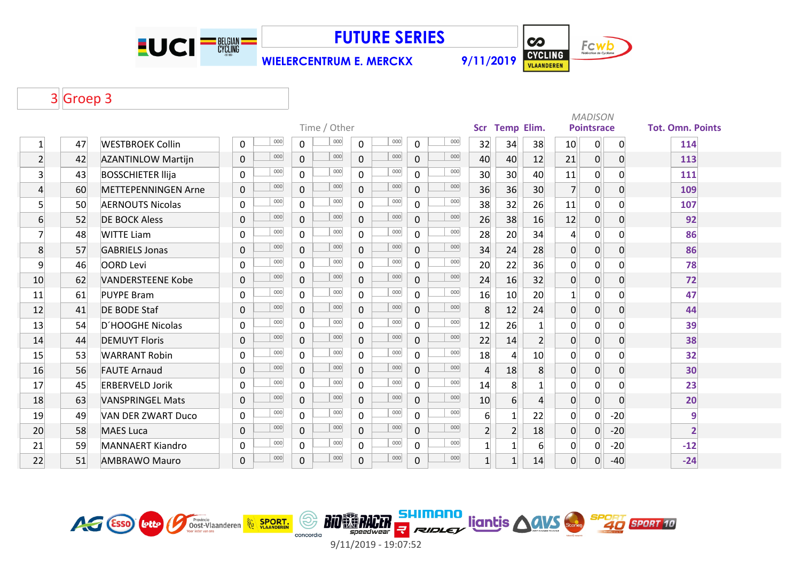

**WIELERCENTRUM E. MERCKX 9/11/2019**

**CO** Fcwb CYCLING

### Groep 3

|                |    |                            |              |     |                |     |                |     |                |     | <b>MADISON</b><br>Scr Temp Elim. |                |                |                |                   |                |                         |  |  |
|----------------|----|----------------------------|--------------|-----|----------------|-----|----------------|-----|----------------|-----|----------------------------------|----------------|----------------|----------------|-------------------|----------------|-------------------------|--|--|
|                |    |                            | Time / Other |     |                |     |                |     |                |     |                                  |                |                |                | <b>Pointsrace</b> |                | <b>Tot. Omn. Points</b> |  |  |
| $\mathbf{1}$   | 47 | <b>WESTBROEK Collin</b>    | 0            | 000 | $\mathbf 0$    | 000 | $\mathsf{O}$   | 000 | 0              | 000 | 32                               | 34             | 38             | 10             | $\mathbf{0}$      | $\mathbf 0$    | 114                     |  |  |
| $\overline{2}$ | 42 | <b>AZANTINLOW Martijn</b>  | $\mathbf 0$  | 000 | $\mathbf 0$    | 000 | $\mathbf 0$    | 000 | $\mathbf 0$    | 000 | 40                               | 40             | 12             | 21             | $\overline{0}$    | $\mathbf 0$    | 113                     |  |  |
| $\overline{3}$ | 43 | <b>BOSSCHIETER Ilija</b>   | $\mathbf 0$  | 000 | $\mathbf 0$    | 000 | $\mathbf 0$    | 000 | $\overline{0}$ | 000 | 30                               | 30             | 40             | 11             | 0                 | $\Omega$       | 111                     |  |  |
| $\overline{4}$ | 60 | <b>METTEPENNINGEN Arne</b> | $\mathbf 0$  | 000 | $\overline{0}$ | 000 | $\mathsf{O}$   | 000 | $\overline{0}$ | 000 | 36                               | 36             | 30             |                | 0                 | $\overline{0}$ | 109                     |  |  |
| 5 <sup>1</sup> | 50 | <b>AERNOUTS Nicolas</b>    | $\mathbf 0$  | 000 | $\mathbf 0$    | 000 | $\mathbf 0$    | 000 | $\mathbf 0$    | 000 | 38                               | 32             | 26             | 11             | 0                 | $\Omega$       | 107                     |  |  |
| 6              | 52 | <b>DE BOCK Aless</b>       | $\mathbf 0$  | 000 | $\overline{0}$ | 000 | $\overline{0}$ | 000 | $\overline{0}$ | 000 | 26                               | 38             | 16             | 12             | $\overline{0}$    | $\mathbf 0$    | 92                      |  |  |
| $\overline{7}$ | 48 | <b>WITTE Liam</b>          | $\mathbf 0$  | 000 | $\mathbf{0}$   | 000 | $\mathbf 0$    | 000 | $\mathbf 0$    | 000 | 28                               | 20             | 34             | $\overline{4}$ | 0                 | $\Omega$       | 86                      |  |  |
| 8              | 57 | <b>GABRIELS Jonas</b>      | $\mathbf 0$  | 000 | $\mathbf 0$    | 000 | $\mathbf{0}$   | 000 | $\mathbf 0$    | 000 | 34                               | 24             | 28             | 0              | $\overline{0}$    | $\mathbf 0$    | 86                      |  |  |
| 9              | 46 | <b>OORD Levi</b>           | $\mathbf 0$  | 000 | $\mathbf 0$    | 000 | $\mathbf 0$    | 000 | 0              | 000 | 20                               | 22             | 36             | $\Omega$       | 0                 | $\Omega$       | 78                      |  |  |
| 10             | 62 | <b>VANDERSTEENE Kobe</b>   | $\mathbf 0$  | 000 | $\mathbf 0$    | 000 | $\mathbf 0$    | 000 | $\mathbf{0}$   | 000 | 24                               | 16             | 32             | $\overline{0}$ | $\overline{0}$    | $\overline{0}$ | 72                      |  |  |
| 11             | 61 | <b>PUYPE Bram</b>          | $\mathbf 0$  | 000 | $\mathbf 0$    | 000 | $\mathbf 0$    | 000 | 0              | 000 | 16                               | 10             | 20             | $\mathbf{1}$   | 0                 | $\mathbf 0$    | 47                      |  |  |
| 12             | 41 | <b>DE BODE Staf</b>        | $\mathbf 0$  | 000 | $\overline{0}$ | 000 | $\overline{0}$ | 000 | $\overline{0}$ | 000 | 8                                | 12             | 24             | $\overline{0}$ | $\overline{0}$    | $\mathbf 0$    | 44                      |  |  |
| 13             | 54 | D'HOOGHE Nicolas           | $\mathbf{0}$ | 000 | $\mathbf 0$    | 000 | $\mathbf 0$    | 000 | $\mathbf 0$    | 000 | 12                               | 26             | $\mathbf{1}$   | 0              | $\mathsf{O}$      | $\Omega$       | 39                      |  |  |
| 14             | 44 | <b>DEMUYT Floris</b>       | $\mathbf 0$  | 000 | $\overline{0}$ | 000 | $\overline{0}$ | 000 | $\overline{0}$ | 000 | 22                               | 14             | $\overline{2}$ | 0              | $\overline{0}$    | $\Omega$       | 38                      |  |  |
| 15             | 53 | <b>WARRANT Robin</b>       | 0            | 000 | $\mathbf 0$    | 000 | $\mathsf{O}$   | 000 | $\mathbf 0$    | 000 | 18                               | $\overline{4}$ | 10             | 0              | $\mathsf{O}$      | $\mathbf{0}$   | 32                      |  |  |
| 16             | 56 | <b>FAUTE Arnaud</b>        | $\mathbf 0$  | 000 | $\mathbf 0$    | 000 | $\mathsf{O}$   | 000 | 0              | 000 | $\overline{4}$                   | 18             | 8              | $\overline{0}$ | $\overline{0}$    | $\mathbf 0$    | 30                      |  |  |
| 17             | 45 | <b>ERBERVELD Jorik</b>     | 0            | 000 | $\mathbf 0$    | 000 | $\mathbf 0$    | 000 | 0              | 000 | 14                               | 8              | $\mathbf{1}$   | $\Omega$       | 0                 | $\Omega$       | 23                      |  |  |
| 18             | 63 | <b>VANSPRINGEL Mats</b>    | $\mathbf 0$  | 000 | $\overline{0}$ | 000 | $\mathbf 0$    | 000 | $\mathbf{0}$   | 000 | 10                               | 6 <sup>1</sup> | $\overline{4}$ | $\overline{0}$ | $\mathbf{0}$      | $\overline{0}$ | 20                      |  |  |
| 19             | 49 | <b>VAN DER ZWART Duco</b>  | $\mathbf 0$  | 000 | $\mathbf 0$    | 000 | $\mathbf 0$    | 000 | $\overline{0}$ | 000 | $6 \overline{6}$                 | $\mathbf{1}$   | 22             | $\overline{0}$ | $\mathsf{O}$      | $-20$          | 9                       |  |  |
| 20             | 58 | <b>MAES Luca</b>           | $\mathbf 0$  | 000 | $\mathbf{0}$   | 000 | $\overline{0}$ | 000 | $\overline{0}$ | 000 | $\overline{2}$                   | $\overline{2}$ | 18             | $\overline{0}$ | $\overline{0}$    | $-20$          |                         |  |  |
| 21             | 59 | <b>MANNAERT Kiandro</b>    | $\mathbf 0$  | 000 | $\mathbf 0$    | 000 | $\mathbf 0$    | 000 | $\mathbf 0$    | 000 |                                  | $\vert$ 1      | 6              | 0              | 0                 | $-20$          | $-12$                   |  |  |
| 22             | 51 | <b>AMBRAWO Mauro</b>       | $\mathbf 0$  | 000 | $\mathbf 0$    | 000 | 0              | 000 | 0              | 000 |                                  | $\mathbf{1}$   | 14             | $\Omega$       | $\overline{0}$    | $-40$          | $-24$                   |  |  |

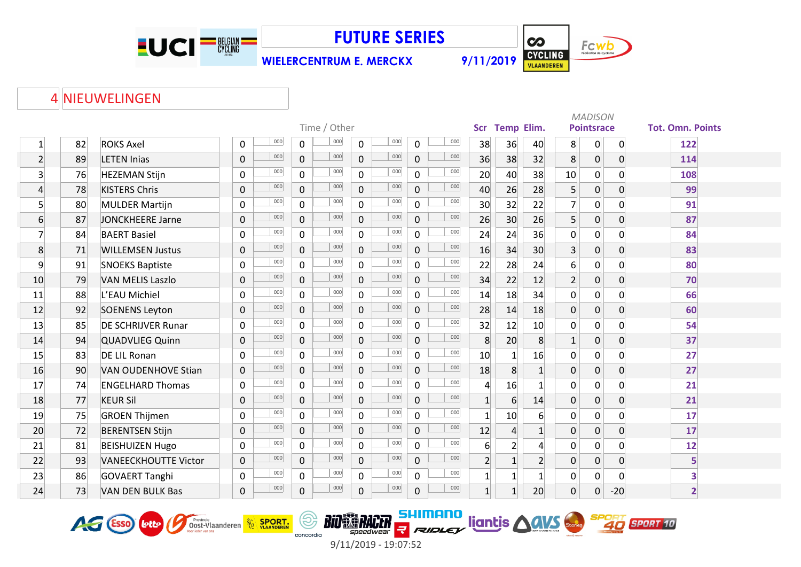

**WIELERCENTRUM E. MERCKX 9/11/2019**



HIMANO ligntis AGUS SPORT SPORT 10

#### NIEUWELINGEN

|                 |    |                             |                            |                |                       |     |                |     |                  |                  |                  |                | <b>MADISON</b><br><b>Temp Elim.</b><br><b>Pointsrace</b> |                |                         |  |  |  |  |  |
|-----------------|----|-----------------------------|----------------------------|----------------|-----------------------|-----|----------------|-----|------------------|------------------|------------------|----------------|----------------------------------------------------------|----------------|-------------------------|--|--|--|--|--|
|                 |    |                             | Time / Other<br><b>Scr</b> |                |                       |     |                |     |                  |                  |                  |                |                                                          |                | <b>Tot. Omn. Points</b> |  |  |  |  |  |
| $\mathbf{1}$    | 82 | <b>ROKS Axel</b>            | 000<br>0                   | $\overline{0}$ | 000<br>$\mathsf{O}$   | 000 | 0              | 000 | 38               | 36               | 40               | 8              | $\overline{0}$                                           | $\overline{0}$ | 122                     |  |  |  |  |  |
| $\overline{2}$  | 89 | <b>LETEN Inias</b>          | 000<br>0                   | $\overline{0}$ | 000<br>$\overline{0}$ | 000 | $\overline{0}$ | 000 | 36               | 38               | 32               | 8 <sup>1</sup> | $\overline{0}$                                           | $\overline{0}$ | 114                     |  |  |  |  |  |
| $\overline{3}$  | 76 | <b>HEZEMAN Stijn</b>        | 000<br>$\overline{0}$      | $\overline{0}$ | 000<br>$\mathsf{O}$   | 000 | $\mathbf 0$    | 000 | 20               | 40               | 38               | 10             | $\overline{0}$                                           | $\Omega$       | 108                     |  |  |  |  |  |
| $\overline{4}$  | 78 | <b>KISTERS Chris</b>        | 000<br>$\pmb{0}$           | $\overline{0}$ | 000<br>$\mathsf{O}$   | 000 | 0              | 000 | 40               | 26               | 28               | 5 <sup>1</sup> | $\overline{0}$                                           | $\overline{0}$ | 99                      |  |  |  |  |  |
| 5 <sup>1</sup>  | 80 | <b>MULDER Martijn</b>       | 000<br>$\mathbf 0$         | $\overline{0}$ | 000<br>$\mathsf{O}$   | 000 | 0              | 000 | 30               | 32               | 22               | $\overline{7}$ | $\overline{0}$                                           | $\mathbf{0}$   | 91                      |  |  |  |  |  |
| $6 \overline{}$ | 87 | <b>JONCKHEERE Jarne</b>     | 000<br>$\mathbf 0$         | $\overline{0}$ | 000<br>$\overline{0}$ | 000 | $\overline{0}$ | 000 | 26               | 30               | 26               | 5 <sup>1</sup> | $\overline{0}$                                           | $\overline{0}$ | 87                      |  |  |  |  |  |
| $\overline{7}$  | 84 | <b>BAERT Basiel</b>         | 000<br>$\mathbf 0$         | $\overline{0}$ | 000<br>$\mathsf{O}$   | 000 | $\mathbf 0$    | 000 | 24               | 24               | 36               | 0              | $\overline{0}$                                           | $\Omega$       | 84                      |  |  |  |  |  |
| 8               | 71 | <b>WILLEMSEN Justus</b>     | 000<br>0                   | $\overline{0}$ | 000<br>$\mathsf{O}$   | 000 | $\mathbf 0$    | 000 | 16               | 34               | 30               | 3 <sup>1</sup> | 0                                                        | $\overline{0}$ | 83                      |  |  |  |  |  |
| 9               | 91 | <b>SNOEKS Baptiste</b>      | 000<br>$\mathbf 0$         | $\overline{0}$ | 000<br>$\mathbf 0$    | 000 | $\mathbf 0$    | 000 | 22               | 28               | 24               | $6 \mid$       | $\overline{0}$                                           | 0              | 80                      |  |  |  |  |  |
| 10              | 79 | <b>VAN MELIS Laszlo</b>     | 000<br>0                   | $\overline{0}$ | 000<br>$\overline{0}$ | 000 | $\mathbf 0$    | 000 | 34               | 22               | 12               | 2 <sup>1</sup> | 0                                                        | $\overline{0}$ | 70                      |  |  |  |  |  |
| 11              | 88 | L'EAU Michiel               | 000<br>$\mathbf 0$         | $\overline{0}$ | 000<br>$\Omega$       | 000 | $\Omega$       | 000 | 14               | 18               | 34               | 0              | $\mathbf 0$                                              | $\Omega$       | 66                      |  |  |  |  |  |
| 12              | 92 | <b>SOENENS Leyton</b>       | 000<br>0                   | $\overline{0}$ | 000<br>$\overline{0}$ | 000 | 0              | 000 | 28               | 14               | 18               | $\overline{0}$ | $\overline{0}$                                           | $\Omega$       | 60                      |  |  |  |  |  |
| 13              | 85 | <b>DE SCHRIJVER Runar</b>   | 000<br>0                   | 0              | 000<br>$\mathsf{O}$   | 000 | $\mathsf{O}$   | 000 | 32               | 12               | 10               | 0              | $\overline{0}$                                           | $\Omega$       | 54                      |  |  |  |  |  |
| 14              | 94 | <b>QUADVLIEG Quinn</b>      | 000<br>0                   | $\overline{0}$ | 000<br>$\mathsf{O}$   | 000 | $\mathbf 0$    | 000 | 8                | 20               | 8                | $1\vert$       | $\overline{0}$                                           | $\overline{0}$ | 37                      |  |  |  |  |  |
| 15              | 83 | <b>DE LIL Ronan</b>         | 000<br>0                   | $\mathbf 0$    | 000<br>$\mathsf{O}$   | 000 | $\mathbf 0$    | 000 | 10               | $1\overline{ }$  | 16               | $\mathsf{O}$   | $\overline{0}$                                           | $\Omega$       | 27                      |  |  |  |  |  |
| 16              | 90 | <b>VAN OUDENHOVE Stian</b>  | 000<br>$\mathbf 0$         | $\overline{0}$ | 000<br>$\mathbf 0$    | 000 | $\mathbf{0}$   | 000 | 18               | 8 <sup>1</sup>   | $1\overline{ }$  | $\overline{0}$ | $\overline{0}$                                           | $\Omega$       | 27                      |  |  |  |  |  |
| 17              | 74 | <b>ENGELHARD Thomas</b>     | 000<br>$\mathbf 0$         | $\overline{0}$ | 000<br>0              | 000 | $\mathbf 0$    | 000 | $\overline{4}$   | 16               |                  | $\overline{0}$ | $\overline{0}$                                           | $\Omega$       | 21                      |  |  |  |  |  |
| 18              | 77 | <b>KEUR Sil</b>             | 000<br>$\overline{0}$      | $\overline{0}$ | 000<br>$\mathsf{O}$   | 000 | $\overline{0}$ | 000 | $1\overline{ }$  | $6 \overline{6}$ | 14               | $\overline{0}$ | 0                                                        | $\Omega$       | 21                      |  |  |  |  |  |
| 19              | 75 | <b>GROEN Thijmen</b>        | 000<br>0                   | $\overline{0}$ | 000<br>$\mathbf 0$    | 000 | $\mathbf 0$    | 000 | $\mathbf{1}$     | 10               | $6 \overline{6}$ | 0              | $\overline{0}$                                           | $\Omega$       | 17                      |  |  |  |  |  |
| 20              | 72 | <b>BERENTSEN Stijn</b>      | 000<br>$\mathbf 0$         | $\overline{0}$ | 000<br>$\mathbf 0$    | 000 | $\mathbf{0}$   | 000 | 12               | $\overline{4}$   | $1\vert$         | 0              | $\overline{0}$                                           | $\Omega$       | 17                      |  |  |  |  |  |
| 21              | 81 | <b>BEISHUIZEN Hugo</b>      | 000<br>0                   | $\overline{0}$ | 000<br>$\Omega$       | 000 | $\mathbf 0$    | 000 | $6 \overline{6}$ | 2 <sup>1</sup>   | $\Delta$         | 0              | $\overline{0}$                                           | $\Omega$       | 12                      |  |  |  |  |  |
| 22              | 93 | <b>VANEECKHOUTTE Victor</b> | 000<br>0                   | $\overline{0}$ | 000<br>$\overline{0}$ | 000 | 0              | 000 | $\overline{2}$   | 1                | 2 <sup>1</sup>   | $\overline{0}$ | $\overline{0}$                                           | $\overline{0}$ | 5                       |  |  |  |  |  |
| 23              | 86 | <b>GOVAERT Tanghi</b>       | 000<br>0                   | $\overline{0}$ | 000<br>0              | 000 | $\mathsf{O}$   | 000 | $\vert$ 1        | $1\overline{ }$  |                  | 0              | $\mathbf 0$                                              | $\Omega$       | 3                       |  |  |  |  |  |
| 24              | 73 | <b>VAN DEN BULK Bas</b>     | 000<br>0                   | $\mathbf{0}$   | 000<br>$\mathbf 0$    | 000 | 0              | 000 | $1\overline{ }$  | 1                | 20               | $\overline{0}$ | $\overline{0}$                                           | $-20$          | $\overline{2}$          |  |  |  |  |  |





(\$)

concordia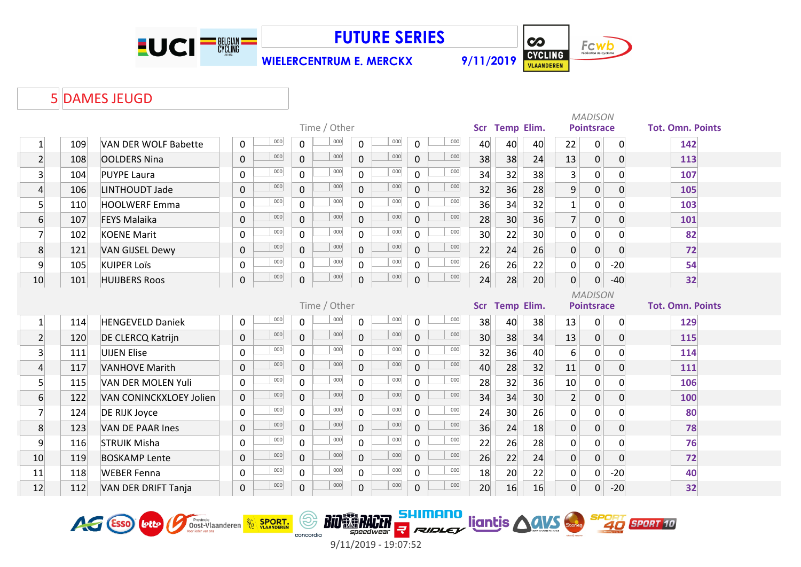

**WIELERCENTRUM E. MERCKX 9/11/2019**



# 5 DAMES JEUGD

|                         |              |                            |             |     |                |              |                |     |                |     |    |                |                 |                   | <b>MADISON</b>    |                |                         |  |
|-------------------------|--------------|----------------------------|-------------|-----|----------------|--------------|----------------|-----|----------------|-----|----|----------------|-----------------|-------------------|-------------------|----------------|-------------------------|--|
|                         |              |                            |             |     |                | Time / Other |                |     |                |     |    | Scr Temp Elim. |                 |                   | <b>Pointsrace</b> |                | <b>Tot. Omn. Points</b> |  |
| $\mathbf{1}$            | 109          | VAN DER WOLF Babette       | $\mathbf 0$ | 000 | 0              | 000          | 0              | 000 | 0              | 000 | 40 | 40             | 40              | 22                | $\mathbf 0$       | $\mathbf 0$    | 142                     |  |
| $\overline{2}$          | 108          | <b>OOLDERS Nina</b>        | $\mathbf 0$ | 000 | $\mathbf 0$    | 000          | $\overline{0}$ | 000 | $\mathbf 0$    | 000 | 38 | 38             | 24              | 13                | $\overline{0}$    | $\overline{0}$ | 113                     |  |
| $\overline{\mathbf{3}}$ | 104          | <b>PUYPE Laura</b>         | $\mathbf 0$ | 000 | $\overline{0}$ | 000          | $\overline{0}$ | 000 | $\mathbf 0$    | 000 | 34 | 32             | 38              | $\overline{3}$    | $\overline{0}$    | 0              | 107                     |  |
| 4                       | 106          | LINTHOUDT Jade             | $\pmb{0}$   | 000 | $\mathbf 0$    | 000          | $\overline{0}$ | 000 | $\mathbf 0$    | 000 | 32 | 36             | 28              | $\overline{9}$    | $\overline{0}$    | $\overline{0}$ | 105                     |  |
| $5\overline{)}$         | 110          | <b>HOOLWERF Emma</b>       | $\mathbf 0$ | 000 | $\overline{0}$ | 000          | 0              | 000 | 0              | 000 | 36 | 34             | 32              | $\mathbf{1}$      | $\boldsymbol{0}$  | $\overline{0}$ | 103                     |  |
| $6 \overline{6}$        | 107          | <b>FEYS Malaika</b>        | $\mathbf 0$ | 000 | $\overline{0}$ | 000          | $\overline{0}$ | 000 | $\overline{0}$ | 000 | 28 | 30             | 36              | $\overline{7}$    | 0                 | 0              | 101                     |  |
| $\overline{7}$          | 102          | <b>KOENE Marit</b>         | $\mathbf 0$ | 000 | $\mathbf 0$    | 000          | $\overline{0}$ | 000 | $\mathbf 0$    | 000 | 30 | 22             | 30              | $\overline{0}$    | $\overline{0}$    | 0              | 82                      |  |
| 8                       | 121          | <b>VAN GIJSEL Dewy</b>     | $\mathbf 0$ | 000 | $\mathbf 0$    | 000          | $\overline{0}$ | 000 | $\mathbf 0$    | 000 | 22 | 24             | 26              | $\overline{0}$    | 0                 | 0              | 72                      |  |
| 9                       | 105          | <b>KUIPER Loïs</b>         | $\mathbf 0$ | 000 | $\mathbf 0$    | 000          | 0              | 000 | 0              | 000 | 26 | 26             | 22              | $\overline{0}$    | 0                 | $-20$          | 54                      |  |
| 10                      | 101          | <b>HUIJBERS Roos</b>       | $\pmb{0}$   | 000 | $\mathbf 0$    | 000          | 0              | 000 | $\mathbf 0$    | 000 | 24 | 28             | 20              | $\overline{0}$    | $\overline{0}$    | $-40$          | 32                      |  |
|                         |              |                            |             |     |                |              |                |     |                |     |    |                |                 |                   | <b>MADISON</b>    |                |                         |  |
|                         | Time / Other |                            |             |     |                |              |                |     |                |     |    |                | Scr Temp Elim.  | <b>Pointsrace</b> |                   |                | <b>Tot. Omn. Points</b> |  |
| $\mathbf{1}$            | 114          | <b>HENGEVELD Daniek</b>    | $\mathbf 0$ | 000 | 0              | 000          | 0              | 000 | $\mathbf 0$    | 000 | 38 | 40             | 38              | 13                | $\overline{0}$    | $\mathbf 0$    | 129                     |  |
| $\overline{2}$          | 120          | DE CLERCQ Katrijn          | $\pmb{0}$   | 000 | $\mathbf 0$    | 000          | $\overline{0}$ | 000 | $\mathbf 0$    | 000 | 30 | 38             | 34              | 13                | $\overline{0}$    | $\mathbf 0$    | 115                     |  |
| $\overline{\mathbf{3}}$ | 111          | <b>UIJEN Elise</b>         | $\mathbf 0$ | 000 | $\mathbf 0$    | 000          | 0              | 000 | $\Omega$       | 000 | 32 | 36             | 40              | $6 \overline{}$   | $\overline{0}$    | $\overline{0}$ | 114                     |  |
| $\overline{4}$          | 117          | <b>VANHOVE Marith</b>      | $\mathbf 0$ | 000 | $\mathbf 0$    | 000          | $\overline{0}$ | 000 | $\mathbf 0$    | 000 | 40 | 28             | 32              | 11                | $\overline{0}$    | $\overline{0}$ | 111                     |  |
| $\mathsf{S}$            | 115          | VAN DER MOLEN Yuli         | $\mathbf 0$ | 000 | $\mathbf 0$    | 000          | $\overline{0}$ | 000 | 0              | 000 | 28 | 32             | 36              | 10                | $\overline{0}$    | 0              | 106                     |  |
| $6 \overline{6}$        | 122          | VAN CONINCKXLOEY Jolien    | $\pmb{0}$   | 000 | $\pmb{0}$      | 000          | 0              | 000 | $\pmb{0}$      | 000 | 34 | 34             | 30 <sup>°</sup> | $\overline{2}$    | $\overline{0}$    | $\mathbf 0$    | 100                     |  |
| $\overline{7}$          | 124          | DE RIJK Joyce              | $\mathbf 0$ | 000 | 0              | 000          | 0              | 000 | 0              | 000 | 24 | 30             | 26              | $\mathbf 0$       | $\overline{0}$    | 0              | 80                      |  |
| 8                       | 123          | <b>VAN DE PAAR Ines</b>    | $\mathbf 0$ | 000 | $\overline{0}$ | 000          | $\overline{0}$ | 000 | $\overline{0}$ | 000 | 36 | 24             | 18              | $\overline{0}$    | $\overline{0}$    | 0              | 78                      |  |
| 9                       | 116          | <b>STRUIK Misha</b>        | $\mathbf 0$ | 000 | 0              | 000          | 0              | 000 | 0              | 000 | 22 | 26             | 28              | $\mathbf 0$       | $\overline{0}$    | 0              | 76                      |  |
| 10                      | 119          | <b>BOSKAMP Lente</b>       | $\mathbf 0$ | 000 | $\mathbf 0$    | 000          | $\overline{0}$ | 000 | $\mathbf 0$    | 000 | 26 | 22             | 24              | $\overline{0}$    | 0                 | $\overline{0}$ | 72                      |  |
| 11                      | 118          | <b>WEBER Fenna</b>         | $\mathbf 0$ | 000 | $\mathbf 0$    | 000          | 0              | 000 | $\mathbf 0$    | 000 | 18 | 20             | 22              | $\mathbf 0$       | 0                 | $-20$          | 40                      |  |
| 12                      | 112          | <b>VAN DER DRIFT Tanja</b> | $\mathbf 0$ | 000 | $\pmb{0}$      | 000          | 0              | 000 | $\mathbf 0$    | 000 | 20 | 16             | 16              | $\overline{0}$    | $\overline{0}$    | $-20$          | 32                      |  |





9/11/2019 - 19:07:52